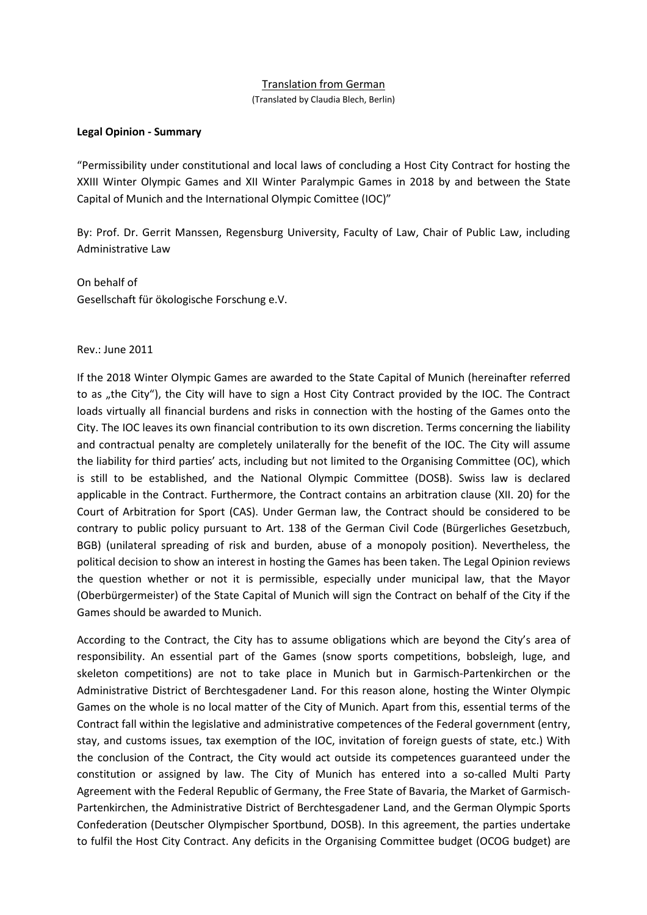## Translation from German

(Translated by Claudia Blech, Berlin)

## **Legal Opinion - Summary**

"Permissibility under constitutional and local laws of concluding a Host City Contract for hosting the XXIII Winter Olympic Games and XII Winter Paralympic Games in 2018 by and between the State Capital of Munich and the International Olympic Comittee (IOC)"

By: Prof. Dr. Gerrit Manssen, Regensburg University, Faculty of Law, Chair of Public Law, including Administrative Law

On behalf of Gesellschaft für ökologische Forschung e.V.

## Rev.: June 2011

If the 2018 Winter Olympic Games are awarded to the State Capital of Munich (hereinafter referred to as "the City"), the City will have to sign a Host City Contract provided by the IOC. The Contract loads virtually all financial burdens and risks in connection with the hosting of the Games onto the City. The IOC leaves its own financial contribution to its own discretion. Terms concerning the liability and contractual penalty are completely unilaterally for the benefit of the IOC. The City will assume the liability for third parties' acts, including but not limited to the Organising Committee (OC), which is still to be established, and the National Olympic Committee (DOSB). Swiss law is declared applicable in the Contract. Furthermore, the Contract contains an arbitration clause (XII. 20) for the Court of Arbitration for Sport (CAS). Under German law, the Contract should be considered to be contrary to public policy pursuant to Art. 138 of the German Civil Code (Bürgerliches Gesetzbuch, BGB) (unilateral spreading of risk and burden, abuse of a monopoly position). Nevertheless, the political decision to show an interest in hosting the Games has been taken. The Legal Opinion reviews the question whether or not it is permissible, especially under municipal law, that the Mayor (Oberbürgermeister) of the State Capital of Munich will sign the Contract on behalf of the City if the Games should be awarded to Munich.

According to the Contract, the City has to assume obligations which are beyond the City's area of responsibility. An essential part of the Games (snow sports competitions, bobsleigh, luge, and skeleton competitions) are not to take place in Munich but in Garmisch-Partenkirchen or the Administrative District of Berchtesgadener Land. For this reason alone, hosting the Winter Olympic Games on the whole is no local matter of the City of Munich. Apart from this, essential terms of the Contract fall within the legislative and administrative competences of the Federal government (entry, stay, and customs issues, tax exemption of the IOC, invitation of foreign guests of state, etc.) With the conclusion of the Contract, the City would act outside its competences guaranteed under the constitution or assigned by law. The City of Munich has entered into a so-called Multi Party Agreement with the Federal Republic of Germany, the Free State of Bavaria, the Market of Garmisch-Partenkirchen, the Administrative District of Berchtesgadener Land, and the German Olympic Sports Confederation (Deutscher Olympischer Sportbund, DOSB). In this agreement, the parties undertake to fulfil the Host City Contract. Any deficits in the Organising Committee budget (OCOG budget) are